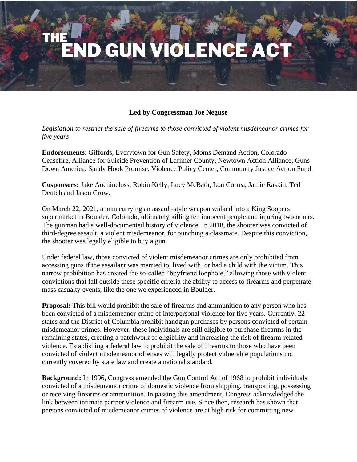## END GUN VIOLENCE A

## **Led by Congressman Joe Neguse**

*Legislation to restrict the sale of firearms to those convicted of violent misdemeanor crimes for five years*

**Endorsements**: Giffords, Everytown for Gun Safety, Moms Demand Action, Colorado Ceasefire, Alliance for Suicide Prevention of Larimer County, Newtown Action Alliance, Guns Down America, Sandy Hook Promise, Violence Policy Center, Community Justice Action Fund

**Cosponsors:** Jake Auchincloss, Robin Kelly, Lucy McBath, Lou Correa, Jamie Raskin, Ted Deutch and Jason Crow.

On March 22, 2021, a man carrying an assault-style weapon walked into a King Soopers supermarket in Boulder, Colorado, ultimately killing ten innocent people and injuring two others. The gunman had a well-documented history of violence. In 2018, the shooter was convicted of third-degree assault, a violent misdemeanor, for punching a classmate. Despite this conviction, the shooter was legally eligible to buy a gun.

Under federal law, those convicted of violent misdemeanor crimes are only prohibited from accessing guns if the assailant was married to, lived with, or had a child with the victim. This narrow prohibition has created the so-called "boyfriend loophole," allowing those with violent convictions that fall outside these specific criteria the ability to access to firearms and perpetrate mass casualty events, like the one we experienced in Boulder.

**Proposal:** This bill would prohibit the sale of firearms and ammunition to any person who has been convicted of a misdemeanor crime of interpersonal violence for five years. Currently, 22 states and the District of Columbia prohibit handgun purchases by persons convicted of certain misdemeanor crimes. However, these individuals are still eligible to purchase firearms in the remaining states, creating a patchwork of eligibility and increasing the risk of firearm-related violence. Establishing a federal law to prohibit the sale of firearms to those who have been convicted of violent misdemeanor offenses will legally protect vulnerable populations not currently covered by state law and create a national standard.

**Background:** In 1996, Congress amended the Gun Control Act of 1968 to prohibit individuals convicted of a misdemeanor crime of domestic violence from shipping, transporting, possessing or receiving firearms or ammunition. In passing this amendment, Congress acknowledged the link between intimate partner violence and firearm use. Since then, research has shown that persons convicted of misdemeanor crimes of violence are at high risk for committing new